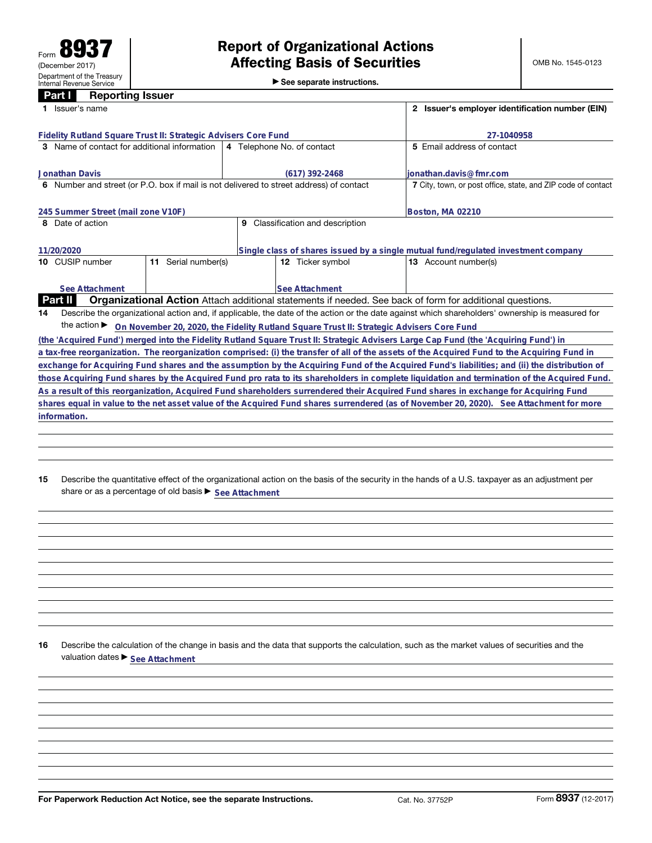|  |  | $\triangleright$ See separate instructions. |
|--|--|---------------------------------------------|
|--|--|---------------------------------------------|

| raru I<br><b>Reporting issuer</b>                                                          |                                                                                                          |                                                                                                                                                 |  |  |  |
|--------------------------------------------------------------------------------------------|----------------------------------------------------------------------------------------------------------|-------------------------------------------------------------------------------------------------------------------------------------------------|--|--|--|
| 1 Issuer's name                                                                            | 2 Issuer's employer identification number (EIN)                                                          |                                                                                                                                                 |  |  |  |
| Fidelity Rutland Square Trust II: Strategic Advisers Core Fund                             |                                                                                                          | 27-1040958                                                                                                                                      |  |  |  |
| 3 Name of contact for additional information                                               | 4 Telephone No. of contact                                                                               | 5 Email address of contact                                                                                                                      |  |  |  |
| <b>Jonathan Davis</b>                                                                      | (617) 392-2468                                                                                           | ionathan.davis@fmr.com                                                                                                                          |  |  |  |
| Number and street (or P.O. box if mail is not delivered to street address) of contact<br>6 | 7 City, town, or post office, state, and ZIP code of contact                                             |                                                                                                                                                 |  |  |  |
| 245 Summer Street (mail zone V10F)                                                         | Boston, MA 02210                                                                                         |                                                                                                                                                 |  |  |  |
| 8 Date of action                                                                           |                                                                                                          |                                                                                                                                                 |  |  |  |
| 11/20/2020                                                                                 | Single class of shares issued by a single mutual fund/regulated investment company                       |                                                                                                                                                 |  |  |  |
| Serial number(s)<br>10 CUSIP number<br>11                                                  | <b>12</b> Ticker symbol                                                                                  | <b>13</b> Account number(s)                                                                                                                     |  |  |  |
| See Attachment                                                                             | See Attachment                                                                                           |                                                                                                                                                 |  |  |  |
| <b>Part II</b>                                                                             | Organizational Action Attach additional statements if needed. See back of form for additional questions. |                                                                                                                                                 |  |  |  |
| 14                                                                                         |                                                                                                          | Describe the organizational action and, if applicable, the date of the action or the date against which shareholders' ownership is measured for |  |  |  |
|                                                                                            | the action ▶ On November 20, 2020, the Fidelity Rutland Square Trust II: Strategic Advisers Core Fund    |                                                                                                                                                 |  |  |  |
|                                                                                            |                                                                                                          | (the 'Acquired Fund') merged into the Fidelity Rutland Square Trust II: Strategic Advisers Large Cap Fund (the 'Acquiring Fund') in             |  |  |  |
|                                                                                            |                                                                                                          | a tax-free reorganization. The reorganization comprised: (i) the transfer of all of the assets of the Acquired Fund to the Acquiring Fund in    |  |  |  |
|                                                                                            |                                                                                                          | exchange for Acquiring Fund shares and the assumption by the Acquiring Fund of the Acquired Fund's liabilities; and (ii) the distribution of    |  |  |  |
|                                                                                            |                                                                                                          | those Acquiring Fund shares by the Acquired Fund pro rata to its shareholders in complete liquidation and termination of the Acquired Fund.     |  |  |  |
|                                                                                            |                                                                                                          | As a result of this reorganization, Acquired Fund shareholders surrendered their Acquired Fund shares in exchange for Acquiring Fund            |  |  |  |
|                                                                                            |                                                                                                          | shares equal in value to the net asset value of the Acquired Fund shares surrendered (as of November 20, 2020). See Attachment for more         |  |  |  |
| information.                                                                               |                                                                                                          |                                                                                                                                                 |  |  |  |

**15** Describe the quantitative effect of the organizational action on the basis of the security in the hands of a U.S. taxpayer as an adjustment per share or as a percentage of old basis  $\blacktriangleright$  <u>See Attachment</u>

**16** Describe the calculation of the change in basis and the data that supports the calculation, such as the market values of securities and the valuation dates  $\blacktriangleright$  **See Attachment**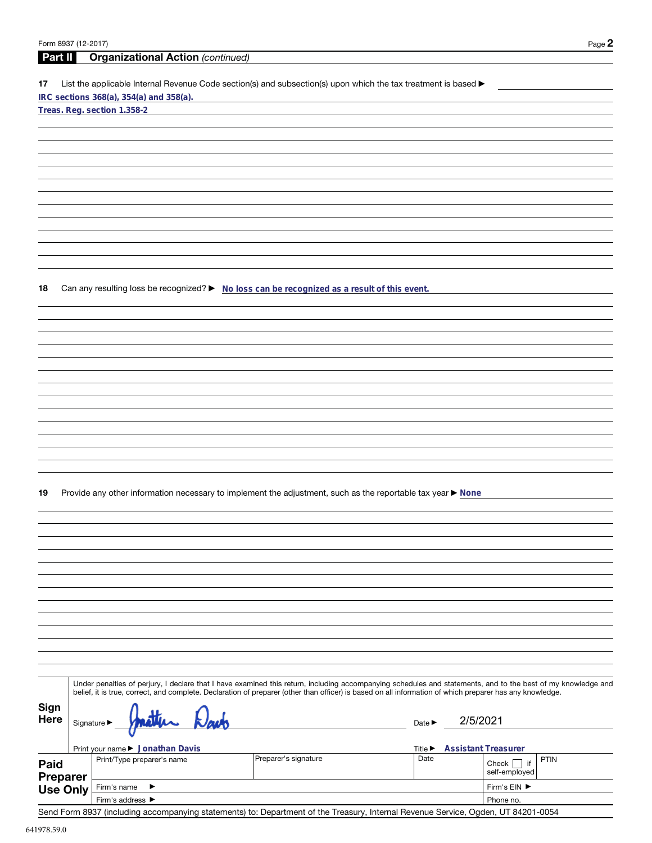| Form 8937 (12-2017) |                                 |                                                                                                                                                              | Page 2                     |
|---------------------|---------------------------------|--------------------------------------------------------------------------------------------------------------------------------------------------------------|----------------------------|
| <b>Part II</b>      |                                 | <b>Organizational Action (continued)</b>                                                                                                                     |                            |
| 17                  |                                 | List the applicable Internal Revenue Code section(s) and subsection(s) upon which the tax treatment is based ▶                                               |                            |
|                     |                                 | IRC sections 368(a), 354(a) and 358(a).<br>Treas. Reg. section 1.358-2                                                                                       |                            |
|                     |                                 |                                                                                                                                                              |                            |
|                     |                                 |                                                                                                                                                              |                            |
|                     |                                 |                                                                                                                                                              |                            |
|                     |                                 |                                                                                                                                                              |                            |
|                     |                                 |                                                                                                                                                              |                            |
|                     |                                 |                                                                                                                                                              |                            |
|                     |                                 |                                                                                                                                                              |                            |
|                     |                                 |                                                                                                                                                              |                            |
|                     |                                 |                                                                                                                                                              |                            |
|                     |                                 |                                                                                                                                                              |                            |
| 18                  |                                 | Can any resulting loss be recognized? ► No loss can be recognized as a result of this event.                                                                 |                            |
|                     |                                 |                                                                                                                                                              |                            |
|                     |                                 |                                                                                                                                                              |                            |
|                     |                                 |                                                                                                                                                              |                            |
|                     |                                 |                                                                                                                                                              |                            |
|                     |                                 |                                                                                                                                                              |                            |
|                     |                                 |                                                                                                                                                              |                            |
|                     |                                 |                                                                                                                                                              |                            |
|                     |                                 |                                                                                                                                                              |                            |
|                     |                                 |                                                                                                                                                              |                            |
|                     |                                 |                                                                                                                                                              |                            |
|                     |                                 |                                                                                                                                                              |                            |
| 19                  |                                 | Provide any other information necessary to implement the adjustment, such as the reportable tax year ▶ None                                                  |                            |
|                     |                                 |                                                                                                                                                              |                            |
|                     |                                 |                                                                                                                                                              |                            |
|                     |                                 |                                                                                                                                                              |                            |
|                     |                                 |                                                                                                                                                              |                            |
|                     |                                 |                                                                                                                                                              |                            |
|                     |                                 |                                                                                                                                                              |                            |
|                     |                                 |                                                                                                                                                              |                            |
|                     |                                 |                                                                                                                                                              |                            |
|                     |                                 |                                                                                                                                                              |                            |
|                     |                                 |                                                                                                                                                              |                            |
|                     |                                 | Under penalties of perjury, I declare that I have examined this return, including accompanying schedules and statements, and to the best of my knowledge and |                            |
|                     |                                 | belief, it is true, correct, and complete. Declaration of preparer (other than officer) is based on all information of which preparer has any knowledge.     |                            |
| Sign                |                                 |                                                                                                                                                              |                            |
| Here                | Signature $\blacktriangleright$ | Date $\blacktriangleright$                                                                                                                                   | 2/5/2021                   |
|                     |                                 | Print your name ▶ Jonathan Davis<br>Title $\blacktriangleright$                                                                                              | <b>Assistant Treasurer</b> |
| Paid                |                                 | Preparer's signature<br>Date<br>Print/Type preparer's name                                                                                                   | PTIN<br>Check $\Box$ if    |
| <b>Preparer</b>     |                                 |                                                                                                                                                              | self-employed              |
| <b>Use Only</b>     |                                 | Firm's name<br>▶                                                                                                                                             | Firm's EIN ▶               |
|                     |                                 | Firm's address ▶                                                                                                                                             | Phone no.                  |

Send Form 8937 (including accompanying statements) to: Department of the Treasury, Internal Revenue Service, Ogden, UT 84201-0054